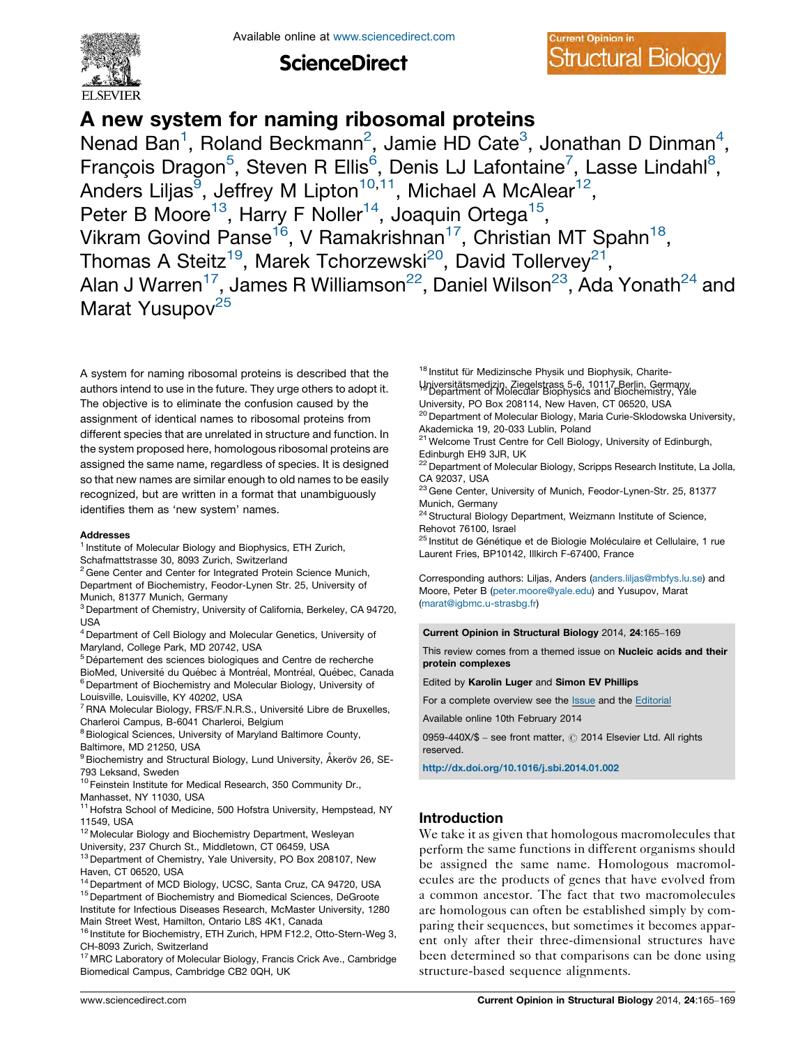

**ScienceDirect** 



# A new system for naming ribosomal proteins

Nenad Ban<sup>1</sup>, Roland Beckmann<sup>2</sup>, Jamie HD Cate<sup>3</sup>, Jonathan D Dinman<sup>4</sup>, François Dragon<sup>5</sup>, Steven R Ellis<sup>6</sup>, Denis LJ Lafontaine<sup>7</sup>, Lasse Lindahl<sup>8</sup>, Anders Liljas<sup>9</sup>, Jeffrey M Lipton<sup>10,11</sup>, Michael A McAlear<sup>12</sup>, Peter B Moore<sup>13</sup>, Harry F Noller<sup>14</sup>, Joaquin Ortega<sup>15</sup>, Vikram Govind Panse<sup>16</sup>, V Ramakrishnan<sup>17</sup>, Christian MT Spahn<sup>18</sup>, Thomas A Steitz<sup>19</sup>, Marek Tchorzewski<sup>20</sup>, David Tollervey<sup>21</sup>, Alan J Warren<sup>17</sup>, James R Williamson<sup>22</sup>, Daniel Wilson<sup>23</sup>, Ada Yonath<sup>24</sup> and Marat Yusupov<sup>25</sup>

A system for naming ribosomal proteins is described that the authors intend to use in the future. They urge others to adopt it. The objective is to eliminate the confusion caused by the assignment of identical names to ribosomal proteins from different species that are unrelated in structure and function. In the system proposed here, homologous ribosomal proteins are assigned the same name, regardless of species. It is designed so that new names are similar enough to old names to be easily recognized, but are written in a format that unambiguously identifies them as 'new system' names.

#### Addresses

- <sup>1</sup> Institute of Molecular Biology and Biophysics, ETH Zurich, Schafmattstrasse 30, 8093 Zurich, Switzerland
- <sup>2</sup> Gene Center and Center for Integrated Protein Science Munich, Department of Biochemistry, Feodor-Lynen Str. 25, University of Munich, 81377 Munich, Germany
- <sup>3</sup> Department of Chemistry, University of California, Berkeley, CA 94720, USA
- <sup>4</sup> Department of Cell Biology and Molecular Genetics, University of Maryland, College Park, MD 20742, USA
- $5$  Département des sciences biologiques and Centre de recherche BioMed, Université du Québec à Montréal, Montréal, Québec, Canada
- <sup>6</sup> Department of Biochemistry and Molecular Biology, University of
- Louisville, Louisville, KY 40202, USA
- $7$ RNA Molecular Biology, FRS/F.N.R.S., Université Libre de Bruxelles, Charleroi Campus, B-6041 Charleroi, Belgium
- <sup>8</sup> Biological Sciences, University of Maryland Baltimore County, Baltimore, MD 21250, USA
- <sup>9</sup> Biochemistry and Structural Biology, Lund University, Åkeröv 26, SE-
- 793 Leksand, Sweden <sup>10</sup> Feinstein Institute for Medical Research, 350 Community Dr.,
- Manhasset, NY 11030, USA
- <sup>11</sup> Hofstra School of Medicine, 500 Hofstra University, Hempstead, NY 11549, USA
- <sup>12</sup> Molecular Biology and Biochemistry Department, Wesleyan
- University, 237 Church St., Middletown, CT 06459, USA <sup>13</sup> Department of Chemistry, Yale University, PO Box 208107, New Haven, CT 06520, USA
- <sup>14</sup> Department of MCD Biology, UCSC, Santa Cruz, CA 94720, USA
- 

<sup>15</sup> Department of Biochemistry and Biomedical Sciences, DeGroote Institute for Infectious Diseases Research, McMaster University, 1280 Main Street West, Hamilton, Ontario L8S 4K1, Canada

<sup>16</sup> Institute for Biochemistry, ETH Zurich, HPM F12.2, Otto-Stern-Weg 3, CH-8093 Zurich, Switzerland

<sup>17</sup> MRC Laboratory of Molecular Biology, Francis Crick Ave., Cambridge Biomedical Campus, Cambridge CB2 0QH, UK

<sup>18</sup> Institut für Medizinsche Physik und Biophysik, Charite-

Universita¨tsmedizin, Ziegelstrass 5-6, <sup>10117</sup> Berlin, Germany <sup>19</sup> Department of Molecular Biophysics and Biochemistry, Yale University, PO Box 208114, New Haven, CT 06520, USA

- <sup>20</sup> Department of Molecular Biology, Maria Curie-Sklodowska University, Akademicka 19, 20-033 Lublin, Poland
- <sup>21</sup> Welcome Trust Centre for Cell Biology, University of Edinburgh, Edinburgh EH9 3JR, UK

<sup>22</sup> Department of Molecular Biology, Scripps Research Institute, La Jolla, CA 92037, USA

- 23 Gene Center, University of Munich, Feodor-Lynen-Str. 25, 81377 Munich, Germany
- <sup>24</sup> Structural Biology Department, Weizmann Institute of Science, Rehovot 76100, Israel
- $^{25}$  Institut de Génétique et de Biologie Moléculaire et Cellulaire, 1 rue Laurent Fries, BP10142, Illkirch F-67400, France

Corresponding authors: Liljas, Anders (<anders.liljas@mbfys.lu.se>) and Moore, Peter B [\(peter.moore@yale.edu](peter.moore@yale.edu)) and Yusupov, Marat [\(marat@igbmc.u-strasbg.fr](marat@igbmc.u-strasbg.fr))

Current Opinion in Structural Biology 2014, 24:165–169

This review comes from a themed issue on Nucleic acids and their protein complexes

Edited by Karolin Luger and Simon EV Phillips

For a complete overview see the [Issue](http://www.sciencedirect.com/science/journal/0959440X/24) and the [Editorial](http://dx.doi.org/10.1016/j.sbi.2014.01.013)

Available online 10th February 2014

0959-440X/\$ - see front matter, © 2014 Elsevier Ltd. All rights reserved.

<http://dx.doi.org/10.1016/j.sbi.2014.01.002>

# Introduction

We take it as given that homologous macromolecules that perform the same functions in different organisms should be assigned the same name. Homologous macromolecules are the products of genes that have evolved from a common ancestor. The fact that two macromolecules are homologous can often be established simply by comparing their sequences, but sometimes it becomes apparent only after their three-dimensional structures have been determined so that comparisons can be done using structure-based sequence alignments.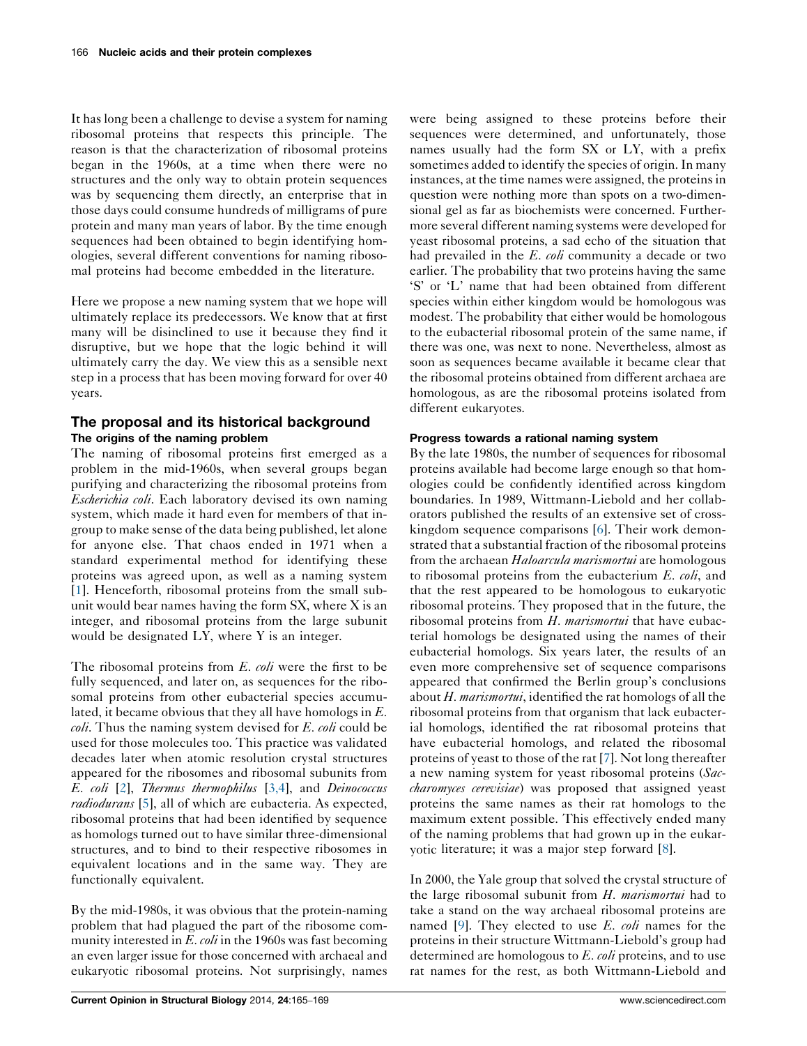It has long been a challenge to devise a system for naming ribosomal proteins that respects this principle. The reason is that the characterization of ribosomal proteins began in the 1960s, at a time when there were no structures and the only way to obtain protein sequences was by sequencing them directly, an enterprise that in those days could consume hundreds of milligrams of pure protein and many man years of labor. By the time enough sequences had been obtained to begin identifying homologies, several different conventions for naming ribosomal proteins had become embedded in the literature.

Here we propose a new naming system that we hope will ultimately replace its predecessors. We know that at first many will be disinclined to use it because they find it disruptive, but we hope that the logic behind it will ultimately carry the day. We view this as a sensible next step in a process that has been moving forward for over 40 years.

## The proposal and its historical background The origins of the naming problem

The naming of ribosomal proteins first emerged as a problem in the mid-1960s, when several groups began purifying and characterizing the ribosomal proteins from Escherichia coli. Each laboratory devised its own naming system, which made it hard even for members of that ingroup to make sense of the data being published, let alone for anyone else. That chaos ended in 1971 when a standard experimental method for identifying these proteins was agreed upon, as well as a naming system [\[1](#page-4-0)]. Henceforth, ribosomal proteins from the small subunit would bear names having the form SX, where X is an integer, and ribosomal proteins from the large subunit would be designated LY, where Y is an integer.

The ribosomal proteins from E. coli were the first to be fully sequenced, and later on, as sequences for the ribosomal proteins from other eubacterial species accumulated, it became obvious that they all have homologs in E. coli. Thus the naming system devised for E. coli could be used for those molecules too. This practice was validated decades later when atomic resolution crystal structures appeared for the ribosomes and ribosomal subunits from E. coli [[2\]](#page-4-0), Thermus thermophilus [\[3,4\]](#page-4-0), and Deinococcus radiodurans [\[5](#page-4-0)], all of which are eubacteria. As expected, ribosomal proteins that had been identified by sequence as homologs turned out to have similar three-dimensional structures, and to bind to their respective ribosomes in equivalent locations and in the same way. They are functionally equivalent.

By the mid-1980s, it was obvious that the protein-naming problem that had plagued the part of the ribosome community interested in  $E$ . *coli* in the 1960s was fast becoming an even larger issue for those concerned with archaeal and eukaryotic ribosomal proteins. Not surprisingly, names were being assigned to these proteins before their sequences were determined, and unfortunately, those names usually had the form SX or LY, with a prefix sometimes added to identify the species of origin. In many instances, at the time names were assigned, the proteins in question were nothing more than spots on a two-dimensional gel as far as biochemists were concerned. Furthermore several different naming systems were developed for yeast ribosomal proteins, a sad echo of the situation that had prevailed in the E. coli community a decade or two earlier. The probability that two proteins having the same 'S' or 'L' name that had been obtained from different species within either kingdom would be homologous was modest. The probability that either would be homologous to the eubacterial ribosomal protein of the same name, if there was one, was next to none. Nevertheless, almost as soon as sequences became available it became clear that the ribosomal proteins obtained from different archaea are homologous, as are the ribosomal proteins isolated from different eukaryotes.

## Progress towards a rational naming system

By the late 1980s, the number of sequences for ribosomal proteins available had become large enough so that homologies could be confidently identified across kingdom boundaries. In 1989, Wittmann-Liebold and her collaborators published the results of an extensive set of crosskingdom sequence comparisons [\[6](#page-4-0)]. Their work demonstrated that a substantial fraction of the ribosomal proteins from the archaean Haloarcula marismortui are homologous to ribosomal proteins from the eubacterium E. coli, and that the rest appeared to be homologous to eukaryotic ribosomal proteins. They proposed that in the future, the ribosomal proteins from  $H$ . marismortui that have eubacterial homologs be designated using the names of their eubacterial homologs. Six years later, the results of an even more comprehensive set of sequence comparisons appeared that confirmed the Berlin group's conclusions about  $H$ . *marismortui*, identified the rat homologs of all the ribosomal proteins from that organism that lack eubacterial homologs, identified the rat ribosomal proteins that have eubacterial homologs, and related the ribosomal proteins of yeast to those of the rat [\[7](#page-4-0)]. Not long thereafter a new naming system for yeast ribosomal proteins (Saccharomyces cerevisiae) was proposed that assigned yeast proteins the same names as their rat homologs to the maximum extent possible. This effectively ended many of the naming problems that had grown up in the eukaryotic literature; it was a major step forward [[8\]](#page-4-0).

In 2000, the Yale group that solved the crystal structure of the large ribosomal subunit from H. marismortui had to take a stand on the way archaeal ribosomal proteins are named  $[9]$  $[9]$ . They elected to use E. coli names for the proteins in their structure Wittmann-Liebold's group had determined are homologous to E. coli proteins, and to use rat names for the rest, as both Wittmann-Liebold and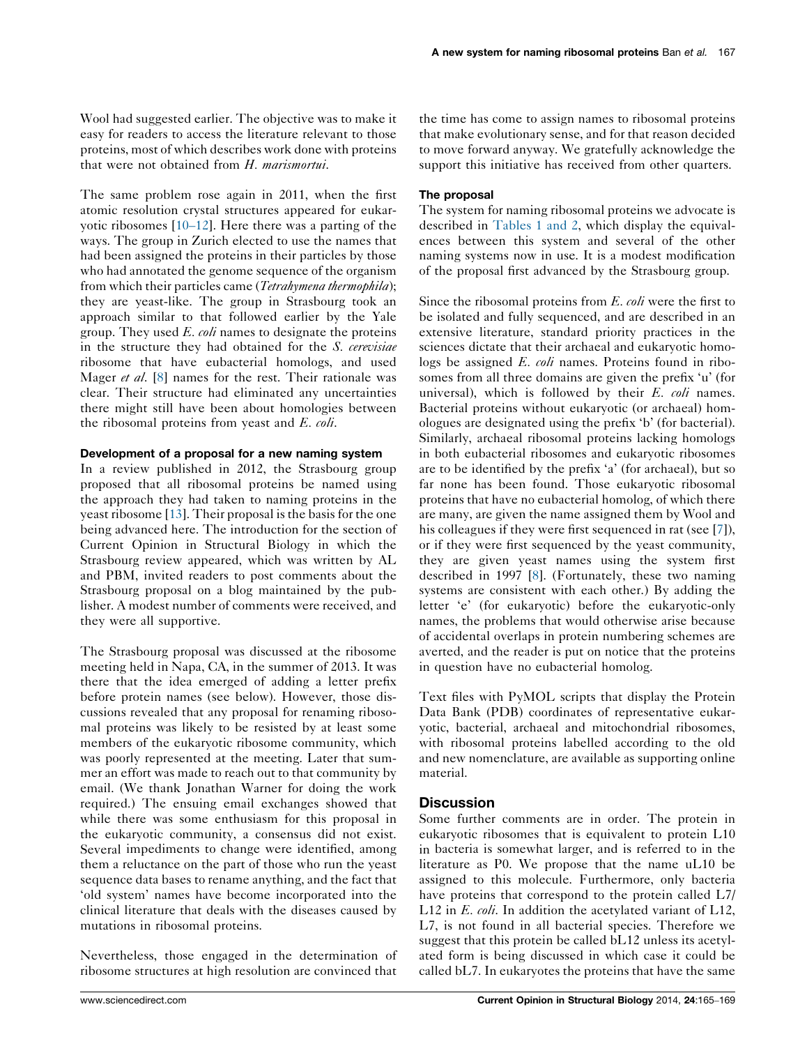Wool had suggested earlier. The objective was to make it easy for readers to access the literature relevant to those proteins, most of which describes work done with proteins that were not obtained from H. marismortui.

The same problem rose again in 2011, when the first atomic resolution crystal structures appeared for eukaryotic ribosomes [10–[12](#page-4-0)]. Here there was a parting of the ways. The group in Zurich elected to use the names that had been assigned the proteins in their particles by those who had annotated the genome sequence of the organism from which their particles came (Tetrahymena thermophila); they are yeast-like. The group in Strasbourg took an approach similar to that followed earlier by the Yale group. They used  $E.$  coli names to designate the proteins in the structure they had obtained for the S. cerevisiae ribosome that have eubacterial homologs, and used Mager et al. [\[8](#page-4-0)] names for the rest. Their rationale was clear. Their structure had eliminated any uncertainties there might still have been about homologies between the ribosomal proteins from yeast and E. coli.

#### Development of a proposal for a new naming system

In a review published in 2012, the Strasbourg group proposed that all ribosomal proteins be named using the approach they had taken to naming proteins in the yeast ribosome  $[13]$  $[13]$ . Their proposal is the basis for the one being advanced here. The introduction for the section of Current Opinion in Structural Biology in which the Strasbourg review appeared, which was written by AL and PBM, invited readers to post comments about the Strasbourg proposal on a blog maintained by the publisher. A modest number of comments were received, and they were all supportive.

The Strasbourg proposal was discussed at the ribosome meeting held in Napa, CA, in the summer of 2013. It was there that the idea emerged of adding a letter prefix before protein names (see below). However, those discussions revealed that any proposal for renaming ribosomal proteins was likely to be resisted by at least some members of the eukaryotic ribosome community, which was poorly represented at the meeting. Later that summer an effort was made to reach out to that community by email. (We thank Jonathan Warner for doing the work required.) The ensuing email exchanges showed that while there was some enthusiasm for this proposal in the eukaryotic community, a consensus did not exist. Several impediments to change were identified, among them a reluctance on the part of those who run the yeast sequence data bases to rename anything, and the fact that 'old system' names have become incorporated into the clinical literature that deals with the diseases caused by mutations in ribosomal proteins.

Nevertheless, those engaged in the determination of ribosome structures at high resolution are convinced that

the time has come to assign names to ribosomal proteins that make evolutionary sense, and for that reason decided to move forward anyway. We gratefully acknowledge the support this initiative has received from other quarters.

#### The proposal

The system for naming ribosomal proteins we advocate is described in [Tables](#page-3-0) 1 and 2, which display the equivalences between this system and several of the other naming systems now in use. It is a modest modification of the proposal first advanced by the Strasbourg group.

Since the ribosomal proteins from E. coli were the first to be isolated and fully sequenced, and are described in an extensive literature, standard priority practices in the sciences dictate that their archaeal and eukaryotic homologs be assigned E. coli names. Proteins found in ribosomes from all three domains are given the prefix 'u' (for universal), which is followed by their  $E$ .  $\omega h$  names. Bacterial proteins without eukaryotic (or archaeal) homologues are designated using the prefix 'b' (for bacterial). Similarly, archaeal ribosomal proteins lacking homologs in both eubacterial ribosomes and eukaryotic ribosomes are to be identified by the prefix 'a' (for archaeal), but so far none has been found. Those eukaryotic ribosomal proteins that have no eubacterial homolog, of which there are many, are given the name assigned them by Wool and his colleagues if they were first sequenced in rat (see [\[7](#page-4-0)]), or if they were first sequenced by the yeast community, they are given yeast names using the system first described in 1997 [\[8](#page-4-0)]. (Fortunately, these two naming systems are consistent with each other.) By adding the letter 'e' (for eukaryotic) before the eukaryotic-only names, the problems that would otherwise arise because of accidental overlaps in protein numbering schemes are averted, and the reader is put on notice that the proteins in question have no eubacterial homolog.

Text files with PyMOL scripts that display the Protein Data Bank (PDB) coordinates of representative eukaryotic, bacterial, archaeal and mitochondrial ribosomes, with ribosomal proteins labelled according to the old and new nomenclature, are available as supporting online material.

## **Discussion**

Some further comments are in order. The protein in eukaryotic ribosomes that is equivalent to protein L10 in bacteria is somewhat larger, and is referred to in the literature as P0. We propose that the name uL10 be assigned to this molecule. Furthermore, only bacteria have proteins that correspond to the protein called L7/ L12 in E. coli. In addition the acetylated variant of L12, L7, is not found in all bacterial species. Therefore we suggest that this protein be called bL12 unless its acetylated form is being discussed in which case it could be called bL7. In eukaryotes the proteins that have the same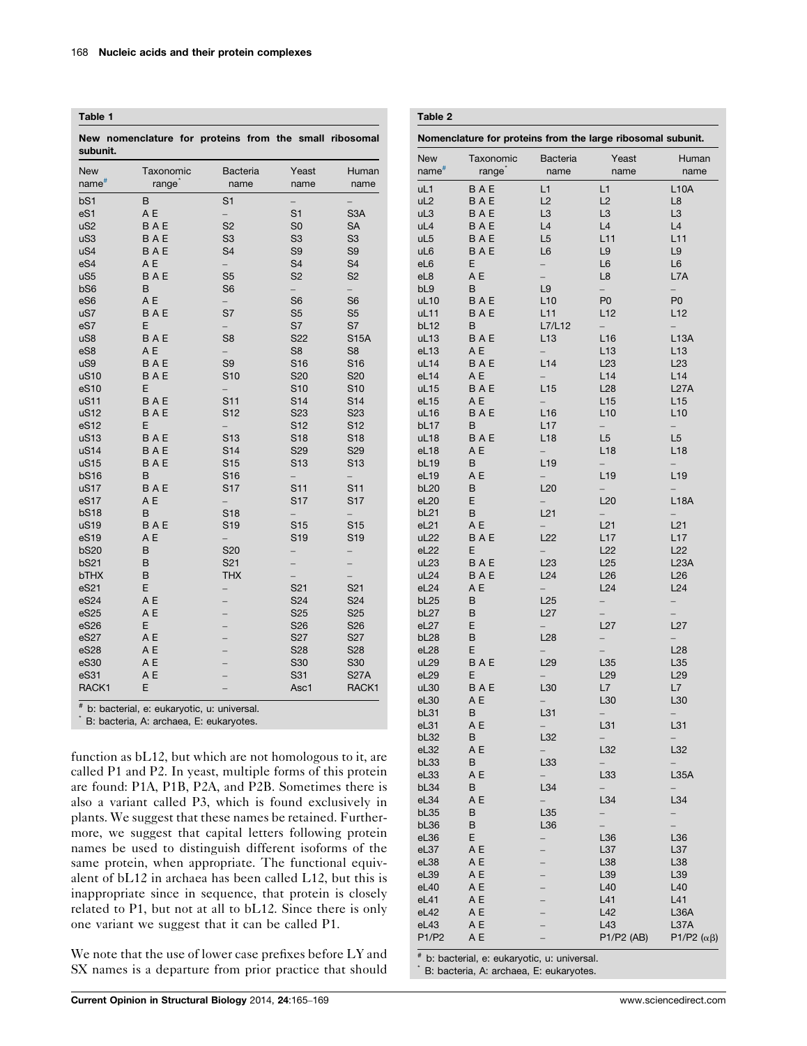<span id="page-3-0"></span>Table 1

New nomenclature for proteins from the small ribosomal subunit. New name# Taxonomic range<sup>\*</sup> Bacteria name Yeast name Human name bS1 B S1 – – eS1 A E – S1 S3A uS2 B A E S2 S0 SA uS3 B A E S3 S3 S3 uS4 B A E S4 S9 S9

| uvv              |            | $\tilde{}$               | $\tilde{}$      | $\check{\,}$    |
|------------------|------------|--------------------------|-----------------|-----------------|
| uS4              | <b>BAE</b> | S <sub>4</sub>           | S <sub>9</sub>  | S <sub>9</sub>  |
| eS4              | A E        |                          | S <sub>4</sub>  | S <sub>4</sub>  |
| uS <sub>5</sub>  | <b>BAE</b> | S <sub>5</sub>           | S <sub>2</sub>  | S <sub>2</sub>  |
| bS6              | B          | S <sub>6</sub>           |                 |                 |
| eS6              | A E        | $\overline{\phantom{0}}$ | S <sub>6</sub>  | S <sub>6</sub>  |
| uS7              | <b>BAE</b> | S7                       | S <sub>5</sub>  | S <sub>5</sub>  |
| eS7              | E          | $\overline{\phantom{0}}$ | S7              | S7              |
| uS8              | <b>BAE</b> | S <sub>8</sub>           | S22             | <b>S15A</b>     |
| eS8              | A E        |                          | S <sub>8</sub>  | S <sub>8</sub>  |
| uS9              | <b>BAE</b> | S <sub>9</sub>           | S <sub>16</sub> | S <sub>16</sub> |
| uS10             | <b>BAE</b> | S <sub>10</sub>          | S20             | S20             |
| eS10             | E          |                          | S <sub>10</sub> | S <sub>10</sub> |
| uS11             | <b>BAE</b> | S <sub>11</sub>          | S <sub>14</sub> | S14             |
| uS12             | <b>BAE</b> | S <sub>12</sub>          | S <sub>23</sub> | S <sub>23</sub> |
| eS12             | E          | $\overline{\phantom{a}}$ | S12             | S <sub>12</sub> |
| uS13             | <b>BAE</b> | S <sub>13</sub>          | S18             | S18             |
| uS14             | <b>BAE</b> | S <sub>14</sub>          | S29             | S29             |
| uS15             | <b>BAE</b> | S <sub>15</sub>          | S <sub>13</sub> | S <sub>13</sub> |
| <b>bS16</b>      | B          | S16                      |                 |                 |
| uS17             | <b>BAE</b> | S17                      | S11             | S <sub>11</sub> |
| eS17             | A E        | $\overline{\phantom{0}}$ | S17             | S17             |
| <b>bS18</b>      | B          | S <sub>18</sub>          |                 |                 |
| uS19             | <b>BAE</b> | S <sub>19</sub>          | S <sub>15</sub> | S <sub>15</sub> |
| eS <sub>19</sub> | A E        | $\overline{\phantom{0}}$ | S <sub>19</sub> | S <sub>19</sub> |
| <b>bS20</b>      | B          | S20                      |                 |                 |
| <b>bS21</b>      | B          | S <sub>21</sub>          |                 |                 |
| bTHX             | B          | <b>THX</b>               |                 |                 |
| eS21             | E          |                          | S <sub>21</sub> | S <sub>21</sub> |
| eS24             | A E        | ÷                        | S24             | S24             |
| eS25             | A E        |                          | S <sub>25</sub> | S <sub>25</sub> |
| eS26             | E          |                          | S <sub>26</sub> | S <sub>26</sub> |
| eS27             | A E        |                          | S <sub>27</sub> | S <sub>27</sub> |
| eS28             | A E        |                          | <b>S28</b>      | S28             |
| eS30             | A E        |                          | S30             | S30             |
| eS31             | A E        |                          | S31             | <b>S27A</b>     |
| RACK1            | E          |                          | Asc1            | RACK1           |

# b: bacterial, e: eukaryotic, u: universal.

\* B: bacteria, A: archaea, E: eukaryotes.

function as bL12, but which are not homologous to it, are called P1 and P2. In yeast, multiple forms of this protein are found: P1A, P1B, P2A, and P2B. Sometimes there is also a variant called P3, which is found exclusively in plants. We suggest that these names be retained. Furthermore, we suggest that capital letters following protein names be used to distinguish different isoforms of the same protein, when appropriate. The functional equivalent of bL12 in archaea has been called L12, but this is inappropriate since in sequence, that protein is closely related to P1, but not at all to bL12. Since there is only one variant we suggest that it can be called P1.

We note that the use of lower case prefixes before LY and SX names is a departure from prior practice that should

| Table 2                                                     |            |                          |                                 |                                 |  |  |
|-------------------------------------------------------------|------------|--------------------------|---------------------------------|---------------------------------|--|--|
| Nomenclature for proteins from the large ribosomal subunit. |            |                          |                                 |                                 |  |  |
| <b>New</b>                                                  | Taxonomic  | Bacteria                 | Yeast                           | Human                           |  |  |
| name <sup>#</sup>                                           | range      | name                     | name                            | name                            |  |  |
| uL1                                                         | BAE        | L1                       | L1                              | <b>L10A</b>                     |  |  |
| UL2                                                         | <b>BAE</b> | L2                       | L2                              | L8                              |  |  |
| uL3                                                         | BAE        | L <sub>3</sub>           | L <sub>3</sub>                  | L <sub>3</sub>                  |  |  |
| uL4                                                         | BAE        | L4                       | L4                              | L4                              |  |  |
| uL5                                                         | BAE        | L <sub>5</sub>           | L11                             | L11                             |  |  |
| uL6                                                         | BAE        | L <sub>6</sub>           | L9                              | L9                              |  |  |
| eL6                                                         | Ε          | $\overline{\phantom{0}}$ | L6                              | L <sub>6</sub>                  |  |  |
| eL8                                                         | ΑE         | $\overline{\phantom{0}}$ | L8                              | L7A                             |  |  |
| bL <sub>9</sub>                                             | B          | L9                       | $\overline{\phantom{0}}$        | $\overline{\phantom{a}}$        |  |  |
| uL10                                                        | BAE        | L10                      | P <sub>0</sub>                  | P <sub>0</sub>                  |  |  |
| uL11<br>bL <sub>12</sub>                                    | BAE<br>B   | L11<br>L7/L12            | L12<br>$\overline{\phantom{0}}$ | L12<br>$\overline{\phantom{0}}$ |  |  |
| uL <sub>13</sub>                                            | BAE        | L13                      | L <sub>16</sub>                 | <b>L13A</b>                     |  |  |
| eL13                                                        | A E        | $\overline{\phantom{0}}$ | L <sub>13</sub>                 | L <sub>13</sub>                 |  |  |
| uL14                                                        | BAE        | L14                      | L <sub>23</sub>                 | L23                             |  |  |
| eL14                                                        | A E        | $\overline{\phantom{0}}$ | L14                             | L14                             |  |  |
| uL15                                                        | <b>BAE</b> | L15                      | L <sub>28</sub>                 | L27A                            |  |  |
| eL15                                                        | A E        |                          | L15                             | L15                             |  |  |
| uL16                                                        | <b>BAE</b> | L16                      | L10                             | L10                             |  |  |
| bL <sub>17</sub>                                            | В          | L17                      | $\overline{\phantom{0}}$        | $\overline{\phantom{0}}$        |  |  |
| uL18                                                        | <b>BAE</b> | L18                      | L <sub>5</sub>                  | L <sub>5</sub>                  |  |  |
| eL18                                                        | ΑE         | $\overline{\phantom{0}}$ | L <sub>18</sub>                 | L18                             |  |  |
| bL <sub>19</sub>                                            | B          | L <sub>19</sub>          |                                 |                                 |  |  |
| eL19                                                        | ΑE         |                          | L <sub>19</sub>                 | L <sub>19</sub>                 |  |  |
| bL20                                                        | B          | L20                      |                                 |                                 |  |  |
| eL20                                                        | Ε          |                          | L20                             | <b>L18A</b>                     |  |  |
| bL <sub>21</sub>                                            | B<br>A E   | L21                      | L21                             | L21                             |  |  |
| eL21<br>uL <sub>22</sub>                                    | BAE        | L22                      | L17                             | L17                             |  |  |
| eL22                                                        | Ε          |                          | L22                             | L22                             |  |  |
| uL <sub>23</sub>                                            | BAE        | L <sub>23</sub>          | L25                             | L23A                            |  |  |
| uL <sub>24</sub>                                            | <b>BAE</b> | L24                      | L26                             | L26                             |  |  |
| eL24                                                        | ΑE         |                          | L24                             | L24                             |  |  |
| bL <sub>25</sub>                                            | B          | L25                      | $\overline{\phantom{0}}$        | $\overline{\phantom{0}}$        |  |  |
| bL27                                                        | В          | L27                      |                                 |                                 |  |  |
| eL27                                                        | Ε          |                          | L27                             | L27                             |  |  |
| bL <sub>28</sub>                                            | B          | L28                      | $\frac{1}{2}$                   |                                 |  |  |
| eL28                                                        | Ε          |                          |                                 | L28                             |  |  |
| uL29                                                        | BAE        | L29                      | L35                             | L35                             |  |  |
| eL29                                                        | Ε          |                          | L <sub>29</sub>                 | L <sub>29</sub>                 |  |  |
| uL30                                                        | BAE        | L30                      | L7                              | L7                              |  |  |
| eL30                                                        | A E        | L31                      | L30                             | L30                             |  |  |
| bL31<br>eL31                                                | B<br>ΑE    |                          | L31                             | L31                             |  |  |
| bL32                                                        | В          | L32                      |                                 |                                 |  |  |
| eL32                                                        | A E        |                          | L32                             | L32                             |  |  |
| bL <sub>33</sub>                                            | B          | L33                      |                                 |                                 |  |  |
| eL33                                                        | ΑE         |                          | L33                             | L35A                            |  |  |
| bL34                                                        | В          | L34                      |                                 |                                 |  |  |
| eL34                                                        | A E        |                          | L34                             | L34                             |  |  |
| bL35                                                        | В          | L35                      |                                 |                                 |  |  |
| bL36                                                        | В          | L36                      |                                 |                                 |  |  |
| eL36                                                        | Ε          | $\overline{\phantom{a}}$ | L36                             | L36                             |  |  |
| eL37                                                        | A E        |                          | L37                             | L37                             |  |  |
| eL38                                                        | A E        |                          | L38                             | L38                             |  |  |
| eL39                                                        | ΑE         |                          | L39                             | L39                             |  |  |
| eL40                                                        | ΑE         |                          | L40                             | L40                             |  |  |
| eL41                                                        | ΑE         |                          | L41                             | L41                             |  |  |
| eL42                                                        | A E        |                          | L42                             | L36A                            |  |  |
| eL43<br>P1/P2                                               | ΑE<br>ΑE   |                          | L43<br>P1/P2 (AB)               | L37A<br>P1/P2 $(\alpha \beta)$  |  |  |
|                                                             |            |                          |                                 |                                 |  |  |

# b: bacterial, e: eukaryotic, u: universal.

B: bacteria, A: archaea, E: eukaryotes.